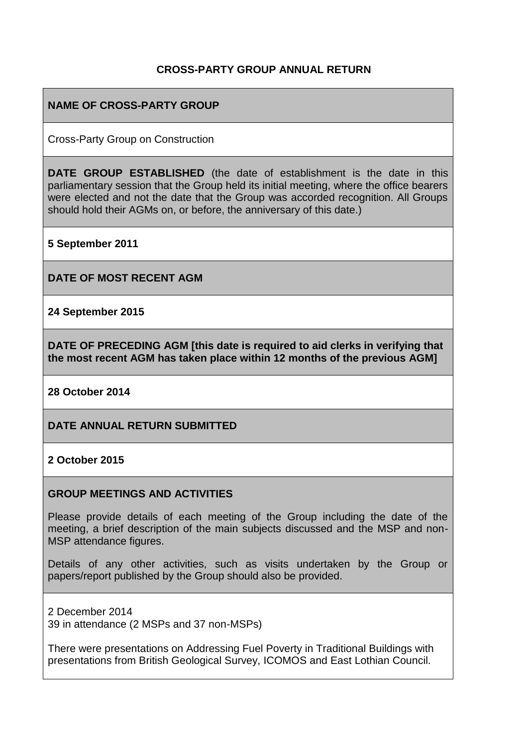### **CROSS-PARTY GROUP ANNUAL RETURN**

#### **NAME OF CROSS-PARTY GROUP**

Cross-Party Group on Construction

**DATE GROUP ESTABLISHED** (the date of establishment is the date in this parliamentary session that the Group held its initial meeting, where the office bearers were elected and not the date that the Group was accorded recognition. All Groups should hold their AGMs on, or before, the anniversary of this date.)

**5 September 2011**

**DATE OF MOST RECENT AGM**

**24 September 2015**

**DATE OF PRECEDING AGM [this date is required to aid clerks in verifying that the most recent AGM has taken place within 12 months of the previous AGM]**

**28 October 2014**

**DATE ANNUAL RETURN SUBMITTED**

**2 October 2015**

#### **GROUP MEETINGS AND ACTIVITIES**

Please provide details of each meeting of the Group including the date of the meeting, a brief description of the main subjects discussed and the MSP and non-MSP attendance figures.

Details of any other activities, such as visits undertaken by the Group or papers/report published by the Group should also be provided.

2 December 2014 39 in attendance (2 MSPs and 37 non-MSPs)

There were presentations on Addressing Fuel Poverty in Traditional Buildings with presentations from British Geological Survey, ICOMOS and East Lothian Council.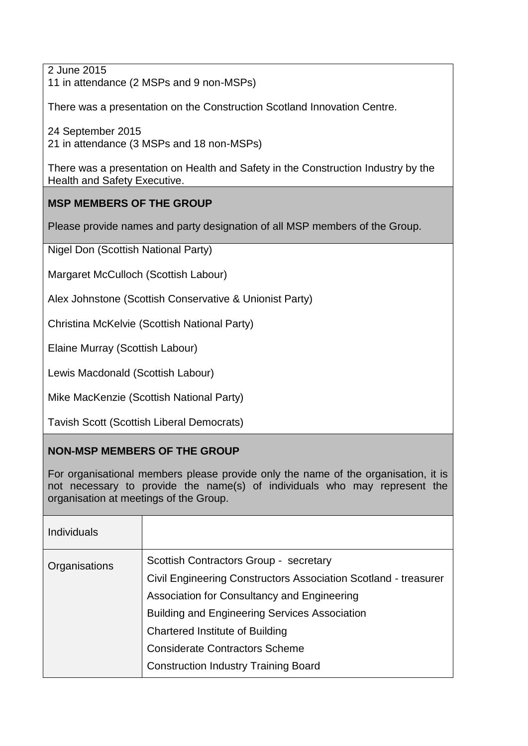2 June 2015 11 in attendance (2 MSPs and 9 non-MSPs)

There was a presentation on the Construction Scotland Innovation Centre.

24 September 2015 21 in attendance (3 MSPs and 18 non-MSPs)

There was a presentation on Health and Safety in the Construction Industry by the Health and Safety Executive.

# **MSP MEMBERS OF THE GROUP**

Please provide names and party designation of all MSP members of the Group.

Nigel Don (Scottish National Party)

Margaret McCulloch (Scottish Labour)

Alex Johnstone (Scottish Conservative & Unionist Party)

[Christina McKelvie](http://www.scottish.parliament.uk/msps/currentmsps/Christina-McKelvie-MSP.aspx) (Scottish National Party)

[Elaine Murray](http://www.scottish.parliament.uk/msps/currentmsps/Elaine-Murray-MSP.aspx) (Scottish Labour)

[Lewis Macdonald](http://www.scottish.parliament.uk/msps/currentmsps/Lewis-Macdonald-MSP.aspx) (Scottish Labour)

[Mike MacKenzie](http://www.scottish.parliament.uk/msps/currentmsps/Mike-MacKenzie-MSP.aspx) (Scottish National Party)

[Tavish Scott](http://www.scottish.parliament.uk/msps/currentmsps/Tavish-Scott-MSP.aspx) (Scottish Liberal Democrats)

### **NON-MSP MEMBERS OF THE GROUP**

For organisational members please provide only the name of the organisation, it is not necessary to provide the name(s) of individuals who may represent the organisation at meetings of the Group.

| <b>Individuals</b> |                                                                 |
|--------------------|-----------------------------------------------------------------|
| Organisations      | Scottish Contractors Group - secretary                          |
|                    | Civil Engineering Constructors Association Scotland - treasurer |
|                    | Association for Consultancy and Engineering                     |
|                    | <b>Building and Engineering Services Association</b>            |
|                    | Chartered Institute of Building                                 |
|                    | <b>Considerate Contractors Scheme</b>                           |
|                    | <b>Construction Industry Training Board</b>                     |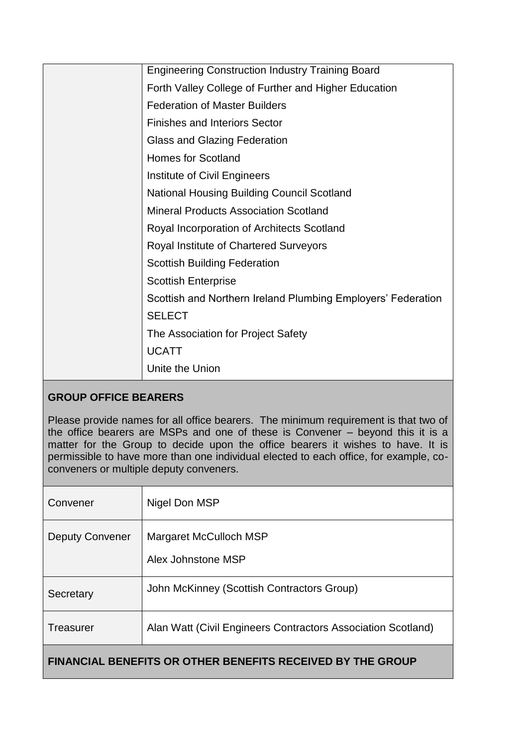| <b>Engineering Construction Industry Training Board</b>      |
|--------------------------------------------------------------|
| Forth Valley College of Further and Higher Education         |
| <b>Federation of Master Builders</b>                         |
| <b>Finishes and Interiors Sector</b>                         |
| Glass and Glazing Federation                                 |
| <b>Homes for Scotland</b>                                    |
| Institute of Civil Engineers                                 |
| <b>National Housing Building Council Scotland</b>            |
| <b>Mineral Products Association Scotland</b>                 |
| Royal Incorporation of Architects Scotland                   |
| Royal Institute of Chartered Surveyors                       |
| <b>Scottish Building Federation</b>                          |
| <b>Scottish Enterprise</b>                                   |
| Scottish and Northern Ireland Plumbing Employers' Federation |
| <b>SELECT</b>                                                |
| The Association for Project Safety                           |
| <b>UCATT</b>                                                 |
| Unite the Union                                              |

# **GROUP OFFICE BEARERS**

Please provide names for all office bearers. The minimum requirement is that two of the office bearers are MSPs and one of these is Convener – beyond this it is a matter for the Group to decide upon the office bearers it wishes to have. It is permissible to have more than one individual elected to each office, for example, coconveners or multiple deputy conveners.

| Convener               | Nigel Don MSP                                                |
|------------------------|--------------------------------------------------------------|
| <b>Deputy Convener</b> | Margaret McCulloch MSP<br>Alex Johnstone MSP                 |
| Secretary              | John McKinney (Scottish Contractors Group)                   |
| Treasurer              | Alan Watt (Civil Engineers Contractors Association Scotland) |
|                        |                                                              |

# **FINANCIAL BENEFITS OR OTHER BENEFITS RECEIVED BY THE GROUP**